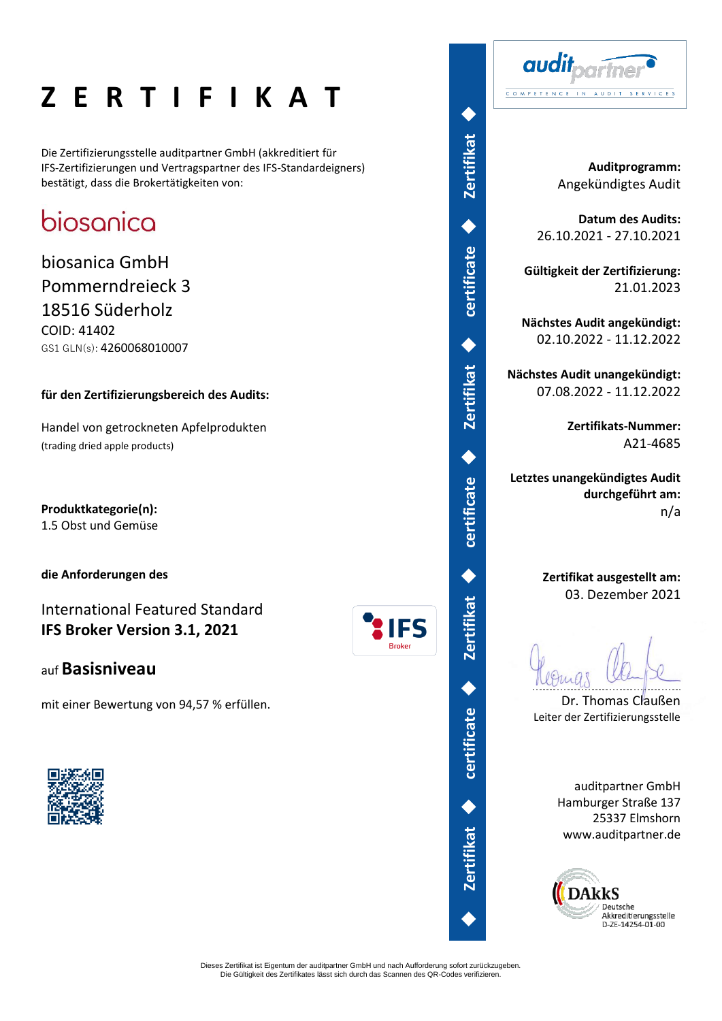# **Z E R T I F I K A T**

Die Zertifizierungsstelle auditpartner GmbH (akkreditiert für IFS-Zertifizierungen und Vertragspartner des IFS-Standardeigners) bestätigt, dass die Brokertätigkeiten von:

## biosanica

biosanica GmbH Pommerndreieck 3 18516 Süderholz COID: 41402 GS1 GLN(s): 4260068010007

#### **für den Zertifizierungsbereich des Audits:**

Handel von getrockneten Apfelprodukten (trading dried apple products)

**Produktkategorie(n):**  1.5 Obst und Gemüse

**die Anforderungen des** 

International Featured Standard **IFS Broker Version 3.1, 2021**

### auf **Basisniveau**

mit einer Bewertung von 94,57 % erfüllen.





audit COMPETENCE IN AUDIT SERVICES

> **Auditprogramm:** Angekündigtes Audit

**Datum des Audits:** 26.10.2021 - 27.10.2021

**Gültigkeit der Zertifizierung:** 21.01.2023

**Nächstes Audit angekündigt:** 02.10.2022 - 11.12.2022

**Nächstes Audit unangekündigt:** 07.08.2022 - 11.12.2022

> **Zertifikats-Nummer:** A21-4685

**Letztes unangekündigtes Audit durchgeführt am:** n/a

> **Zertifikat ausgestellt am:** 03. Dezember 2021

Dr. Thomas Claußen Leiter der Zertifizierungsstelle

auditpartner GmbH Hamburger Straße 137 25337 Elmshorn www.auditpartner.de



Dieses Zertifikat ist Eigentum der auditpartner GmbH und nach Aufforderung sofort zurückzugeben. Die Gültigkeit des Zertifikates lässt sich durch das Scannen des QR-Codes verifizieren.

**Broker** 

◆

**certificate** 

◆

**Zertifikat**